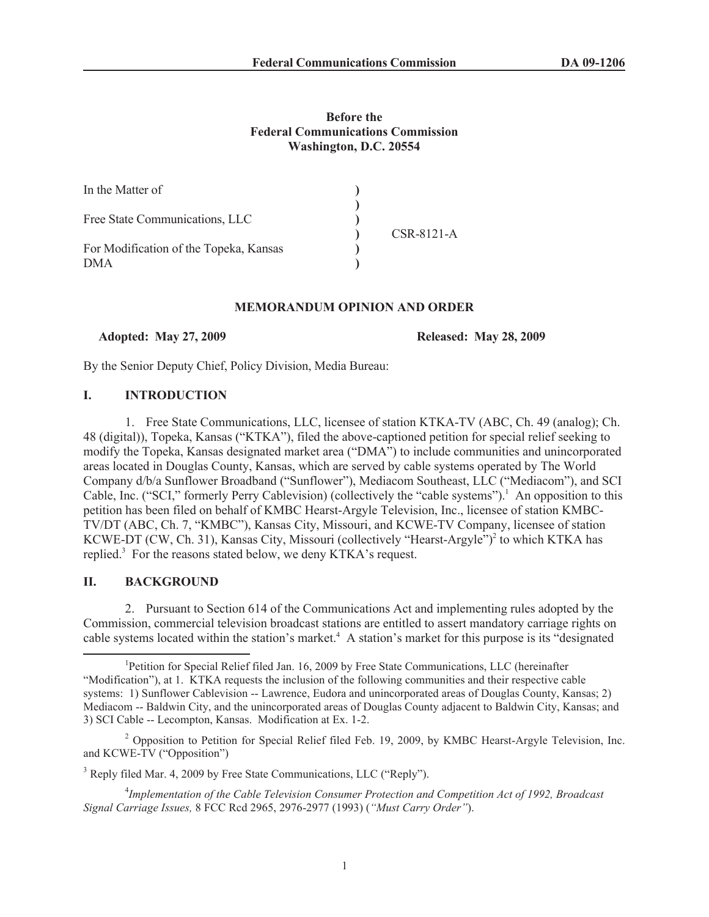## **Before the Federal Communications Commission Washington, D.C. 20554**

| In the Matter of                                     |  |            |
|------------------------------------------------------|--|------------|
| Free State Communications, LLC                       |  | CSR-8121-A |
| For Modification of the Topeka, Kansas<br><b>DMA</b> |  |            |

### **MEMORANDUM OPINION AND ORDER**

**Adopted: May 27, 2009 Released: May 28, 2009**

By the Senior Deputy Chief, Policy Division, Media Bureau:

## **I. INTRODUCTION**

1. Free State Communications, LLC, licensee of station KTKA-TV (ABC, Ch. 49 (analog); Ch. 48 (digital)), Topeka, Kansas ("KTKA"), filed the above-captioned petition for special relief seeking to modify the Topeka, Kansas designated market area ("DMA") to include communities and unincorporated areas located in Douglas County, Kansas, which are served by cable systems operated by The World Company d/b/a Sunflower Broadband ("Sunflower"), Mediacom Southeast, LLC ("Mediacom"), and SCI Cable, Inc. ("SCI," formerly Perry Cablevision) (collectively the "cable systems").<sup>1</sup> An opposition to this petition has been filed on behalf of KMBC Hearst-Argyle Television, Inc., licensee of station KMBC-TV/DT (ABC, Ch. 7, "KMBC"), Kansas City, Missouri, and KCWE-TV Company, licensee of station KCWE-DT (CW, Ch. 31), Kansas City, Missouri (collectively "Hearst-Argyle")<sup>2</sup> to which KTKA has replied.<sup>3</sup> For the reasons stated below, we deny KTKA's request.

## **II. BACKGROUND**

2. Pursuant to Section 614 of the Communications Act and implementing rules adopted by the Commission, commercial television broadcast stations are entitled to assert mandatory carriage rights on cable systems located within the station's market.<sup>4</sup> A station's market for this purpose is its "designated"

<sup>3</sup> Reply filed Mar. 4, 2009 by Free State Communications, LLC ("Reply").

4 *Implementation of the Cable Television Consumer Protection and Competition Act of 1992, Broadcast Signal Carriage Issues,* 8 FCC Rcd 2965, 2976-2977 (1993) (*"Must Carry Order"*).

<sup>&</sup>lt;sup>1</sup>Petition for Special Relief filed Jan. 16, 2009 by Free State Communications, LLC (hereinafter "Modification"), at 1. KTKA requests the inclusion of the following communities and their respective cable systems: 1) Sunflower Cablevision -- Lawrence, Eudora and unincorporated areas of Douglas County, Kansas; 2) Mediacom -- Baldwin City, and the unincorporated areas of Douglas County adjacent to Baldwin City, Kansas; and 3) SCI Cable -- Lecompton, Kansas. Modification at Ex. 1-2.

 $^2$  Opposition to Petition for Special Relief filed Feb. 19, 2009, by KMBC Hearst-Argyle Television, Inc. and KCWE-TV ("Opposition")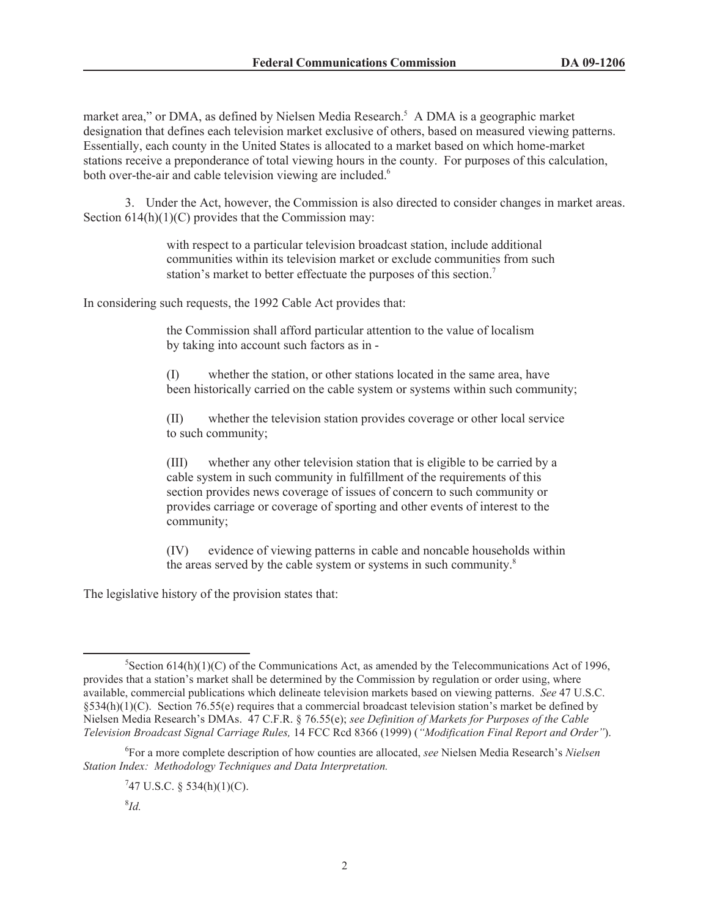market area," or DMA, as defined by Nielsen Media Research.<sup>5</sup> A DMA is a geographic market designation that defines each television market exclusive of others, based on measured viewing patterns. Essentially, each county in the United States is allocated to a market based on which home-market stations receive a preponderance of total viewing hours in the county. For purposes of this calculation, both over-the-air and cable television viewing are included.<sup>6</sup>

3. Under the Act, however, the Commission is also directed to consider changes in market areas. Section  $614(h)(1)(C)$  provides that the Commission may:

> with respect to a particular television broadcast station, include additional communities within its television market or exclude communities from such station's market to better effectuate the purposes of this section.<sup>7</sup>

In considering such requests, the 1992 Cable Act provides that:

the Commission shall afford particular attention to the value of localism by taking into account such factors as in -

(I) whether the station, or other stations located in the same area, have been historically carried on the cable system or systems within such community;

(II) whether the television station provides coverage or other local service to such community;

(III) whether any other television station that is eligible to be carried by a cable system in such community in fulfillment of the requirements of this section provides news coverage of issues of concern to such community or provides carriage or coverage of sporting and other events of interest to the community;

(IV) evidence of viewing patterns in cable and noncable households within the areas served by the cable system or systems in such community.<sup>8</sup>

The legislative history of the provision states that:

<sup>&</sup>lt;sup>5</sup>Section 614(h)(1)(C) of the Communications Act, as amended by the Telecommunications Act of 1996, provides that a station's market shall be determined by the Commission by regulation or order using, where available, commercial publications which delineate television markets based on viewing patterns. *See* 47 U.S.C. §534(h)(1)(C). Section 76.55(e) requires that a commercial broadcast television station's market be defined by Nielsen Media Research's DMAs. 47 C.F.R. § 76.55(e); *see Definition of Markets for Purposes of the Cable Television Broadcast Signal Carriage Rules,* 14 FCC Rcd 8366 (1999) (*"Modification Final Report and Order"*).

<sup>6</sup> For a more complete description of how counties are allocated, *see* Nielsen Media Research's *Nielsen Station Index: Methodology Techniques and Data Interpretation.*

 $747$  U.S.C. § 534(h)(1)(C).

<sup>8</sup> *Id.*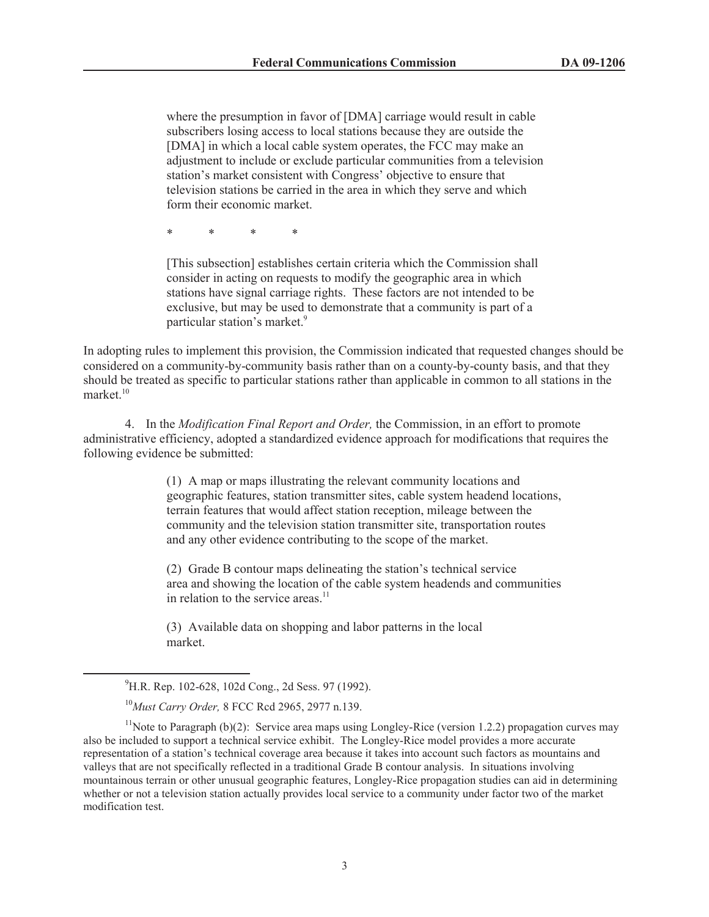where the presumption in favor of [DMA] carriage would result in cable subscribers losing access to local stations because they are outside the [DMA] in which a local cable system operates, the FCC may make an adjustment to include or exclude particular communities from a television station's market consistent with Congress' objective to ensure that television stations be carried in the area in which they serve and which form their economic market.

\* \* \* \*

[This subsection] establishes certain criteria which the Commission shall consider in acting on requests to modify the geographic area in which stations have signal carriage rights. These factors are not intended to be exclusive, but may be used to demonstrate that a community is part of a particular station's market.<sup>9</sup>

In adopting rules to implement this provision, the Commission indicated that requested changes should be considered on a community-by-community basis rather than on a county-by-county basis, and that they should be treated as specific to particular stations rather than applicable in common to all stations in the market.<sup>10</sup>

4. In the *Modification Final Report and Order,* the Commission, in an effort to promote administrative efficiency, adopted a standardized evidence approach for modifications that requires the following evidence be submitted:

> (1) A map or maps illustrating the relevant community locations and geographic features, station transmitter sites, cable system headend locations, terrain features that would affect station reception, mileage between the community and the television station transmitter site, transportation routes and any other evidence contributing to the scope of the market.

> (2) Grade B contour maps delineating the station's technical service area and showing the location of the cable system headends and communities in relation to the service areas.<sup>11</sup>

(3) Available data on shopping and labor patterns in the local market.

<sup>&</sup>lt;sup>9</sup>H.R. Rep. 102-628, 102d Cong., 2d Sess. 97 (1992).

<sup>10</sup>*Must Carry Order,* 8 FCC Rcd 2965, 2977 n.139.

<sup>&</sup>lt;sup>11</sup>Note to Paragraph (b)(2): Service area maps using Longley-Rice (version 1.2.2) propagation curves may also be included to support a technical service exhibit. The Longley-Rice model provides a more accurate representation of a station's technical coverage area because it takes into account such factors as mountains and valleys that are not specifically reflected in a traditional Grade B contour analysis. In situations involving mountainous terrain or other unusual geographic features, Longley-Rice propagation studies can aid in determining whether or not a television station actually provides local service to a community under factor two of the market modification test.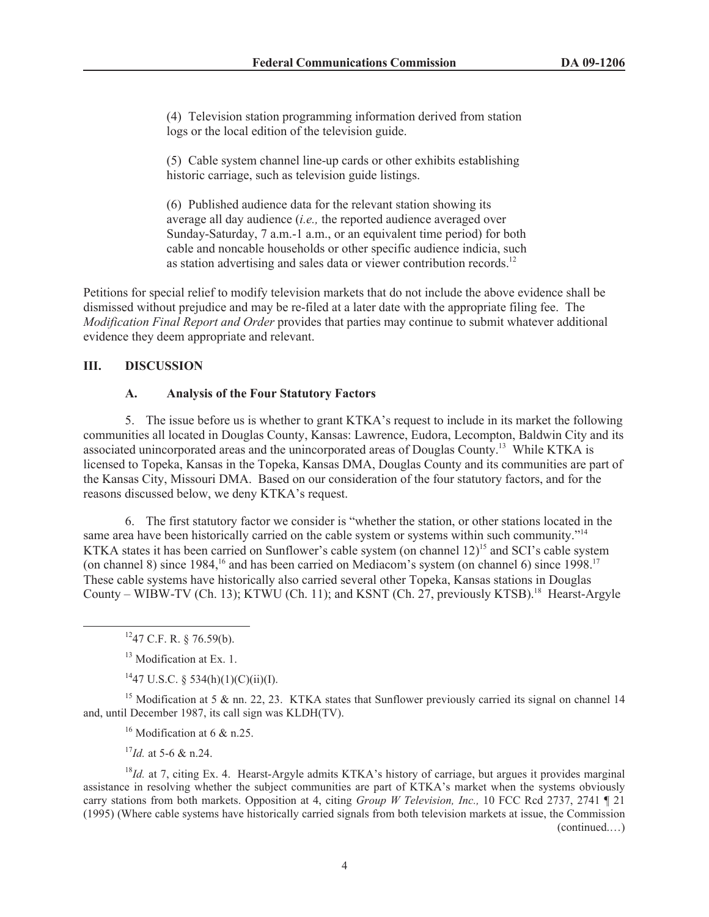(4) Television station programming information derived from station logs or the local edition of the television guide.

(5) Cable system channel line-up cards or other exhibits establishing historic carriage, such as television guide listings.

(6) Published audience data for the relevant station showing its average all day audience (*i.e.,* the reported audience averaged over Sunday-Saturday, 7 a.m.-1 a.m., or an equivalent time period) for both cable and noncable households or other specific audience indicia, such as station advertising and sales data or viewer contribution records.<sup>12</sup>

Petitions for special relief to modify television markets that do not include the above evidence shall be dismissed without prejudice and may be re-filed at a later date with the appropriate filing fee. The *Modification Final Report and Order* provides that parties may continue to submit whatever additional evidence they deem appropriate and relevant.

## **III. DISCUSSION**

### **A. Analysis of the Four Statutory Factors**

5. The issue before us is whether to grant KTKA's request to include in its market the following communities all located in Douglas County, Kansas: Lawrence, Eudora, Lecompton, Baldwin City and its associated unincorporated areas and the unincorporated areas of Douglas County.<sup>13</sup> While KTKA is licensed to Topeka, Kansas in the Topeka, Kansas DMA, Douglas County and its communities are part of the Kansas City, Missouri DMA. Based on our consideration of the four statutory factors, and for the reasons discussed below, we deny KTKA's request.

6. The first statutory factor we consider is "whether the station, or other stations located in the same area have been historically carried on the cable system or systems within such community."<sup>14</sup> KTKA states it has been carried on Sunflower's cable system (on channel 12)<sup>15</sup> and SCI's cable system (on channel 8) since 1984,<sup>16</sup> and has been carried on Mediacom's system (on channel 6) since 1998.<sup>17</sup> These cable systems have historically also carried several other Topeka, Kansas stations in Douglas County – WIBW-TV (Ch. 13); KTWU (Ch. 11); and KSNT (Ch. 27, previously KTSB).<sup>18</sup> Hearst-Argyle

 $1447$  U.S.C. § 534(h)(1)(C)(ii)(I).

<sup>15</sup> Modification at 5 & nn. 22, 23. KTKA states that Sunflower previously carried its signal on channel 14 and, until December 1987, its call sign was KLDH(TV).

<sup>16</sup> Modification at 6 & n.25.

<sup>17</sup>*Id.* at 5-6 & n.24.

<sup>18</sup>*Id.* at 7, citing Ex. 4. Hearst-Argyle admits KTKA's history of carriage, but argues it provides marginal assistance in resolving whether the subject communities are part of KTKA's market when the systems obviously carry stations from both markets. Opposition at 4, citing *Group W Television, Inc.,* 10 FCC Rcd 2737, 2741 ¶ 21 (1995) (Where cable systems have historically carried signals from both television markets at issue, the Commission (continued.…)

 $1247$  C.F. R. § 76.59(b).

<sup>&</sup>lt;sup>13</sup> Modification at Ex. 1.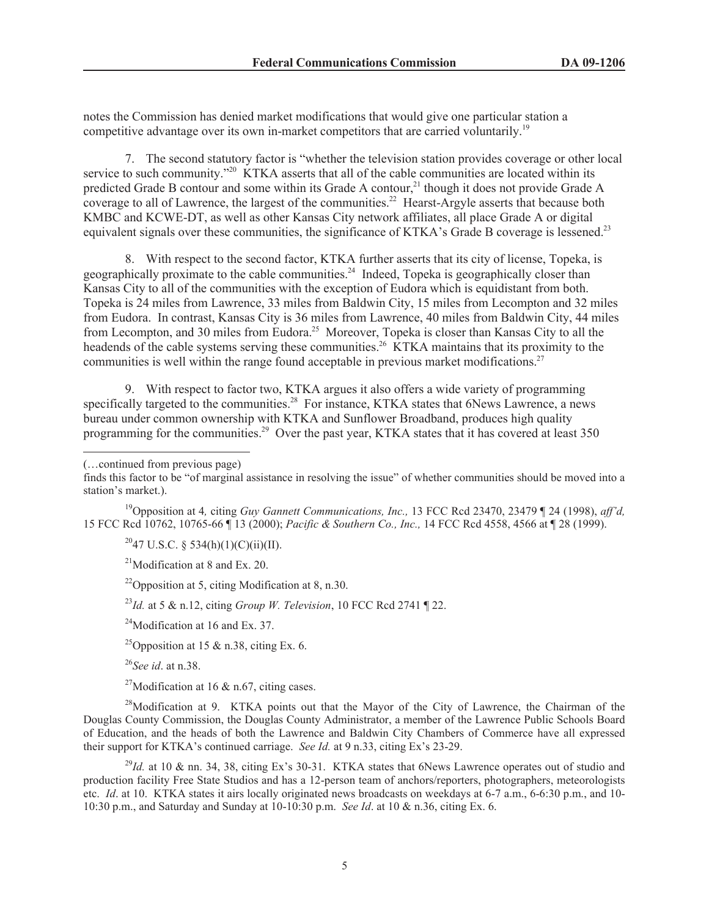notes the Commission has denied market modifications that would give one particular station a competitive advantage over its own in-market competitors that are carried voluntarily.<sup>19</sup>

7. The second statutory factor is "whether the television station provides coverage or other local service to such community."<sup>20</sup> KTKA asserts that all of the cable communities are located within its predicted Grade B contour and some within its Grade A contour,<sup>21</sup> though it does not provide Grade A coverage to all of Lawrence, the largest of the communities.<sup>22</sup> Hearst-Argyle asserts that because both KMBC and KCWE-DT, as well as other Kansas City network affiliates, all place Grade A or digital equivalent signals over these communities, the significance of KTKA's Grade B coverage is lessened.<sup>23</sup>

8. With respect to the second factor, KTKA further asserts that its city of license, Topeka, is geographically proximate to the cable communities.<sup>24</sup> Indeed, Topeka is geographically closer than Kansas City to all of the communities with the exception of Eudora which is equidistant from both. Topeka is 24 miles from Lawrence, 33 miles from Baldwin City, 15 miles from Lecompton and 32 miles from Eudora. In contrast, Kansas City is 36 miles from Lawrence, 40 miles from Baldwin City, 44 miles from Lecompton, and 30 miles from Eudora.<sup>25</sup> Moreover, Topeka is closer than Kansas City to all the headends of the cable systems serving these communities.<sup>26</sup> KTKA maintains that its proximity to the communities is well within the range found acceptable in previous market modifications.<sup>27</sup>

9. With respect to factor two, KTKA argues it also offers a wide variety of programming specifically targeted to the communities.<sup>28</sup> For instance, KTKA states that 6News Lawrence, a news bureau under common ownership with KTKA and Sunflower Broadband, produces high quality programming for the communities.<sup>29</sup> Over the past year, KTKA states that it has covered at least 350

(…continued from previous page)

<sup>19</sup>Opposition at 4*,* citing *Guy Gannett Communications, Inc.,* 13 FCC Rcd 23470, 23479 ¶ 24 (1998), *aff'd,*  15 FCC Rcd 10762, 10765-66 ¶ 13 (2000); *Pacific & Southern Co., Inc.,* 14 FCC Rcd 4558, 4566 at ¶ 28 (1999).

 $^{20}$ 47 U.S.C. § 534(h)(1)(C)(ii)(II).

<sup>21</sup>Modification at 8 and Ex. 20.

<sup>22</sup>Opposition at 5, citing Modification at 8, n.30.

<sup>23</sup>*Id.* at 5 & n.12, citing *Group W. Television*, 10 FCC Rcd 2741 ¶ 22.

 $^{24}$ Modification at 16 and Ex. 37.

<sup>25</sup>Opposition at 15 & n.38, citing Ex. 6.

<sup>26</sup>*See id*. at n.38.

<sup>27</sup>Modification at 16  $\&$  n.67, citing cases.

<sup>28</sup>Modification at 9. KTKA points out that the Mayor of the City of Lawrence, the Chairman of the Douglas County Commission, the Douglas County Administrator, a member of the Lawrence Public Schools Board of Education, and the heads of both the Lawrence and Baldwin City Chambers of Commerce have all expressed their support for KTKA's continued carriage. *See Id.* at 9 n.33, citing Ex's 23-29.

<sup>29</sup>*Id.* at 10 & nn. 34, 38, citing Ex's 30-31. KTKA states that 6News Lawrence operates out of studio and production facility Free State Studios and has a 12-person team of anchors/reporters, photographers, meteorologists etc. *Id*. at 10. KTKA states it airs locally originated news broadcasts on weekdays at 6-7 a.m., 6-6:30 p.m., and 10- 10:30 p.m., and Saturday and Sunday at 10-10:30 p.m. *See Id*. at 10 & n.36, citing Ex. 6.

finds this factor to be "of marginal assistance in resolving the issue" of whether communities should be moved into a station's market.).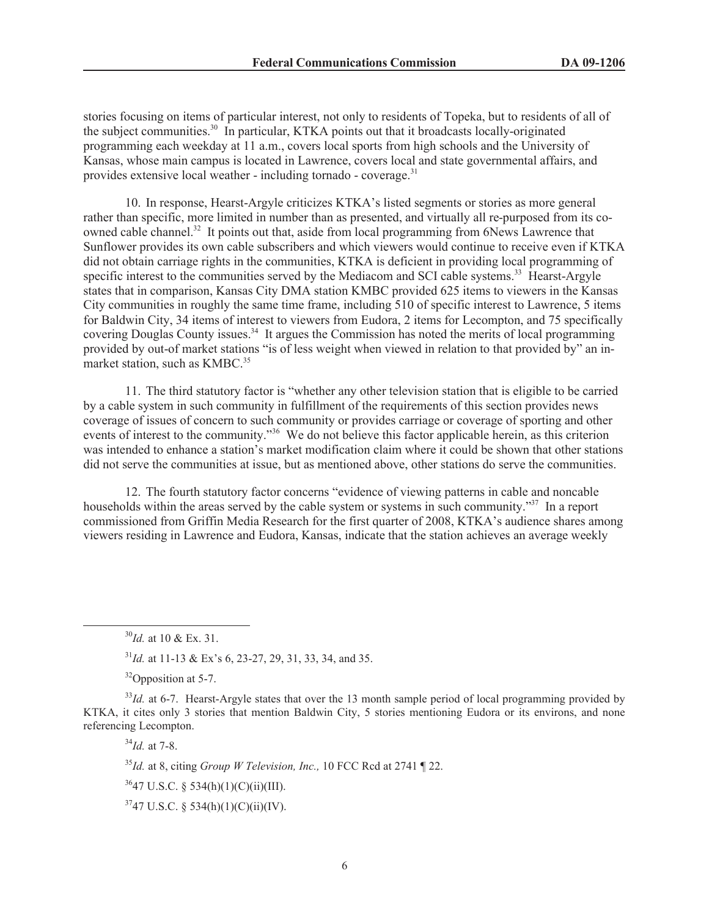stories focusing on items of particular interest, not only to residents of Topeka, but to residents of all of the subject communities.<sup>30</sup> In particular, KTKA points out that it broadcasts locally-originated programming each weekday at 11 a.m., covers local sports from high schools and the University of Kansas, whose main campus is located in Lawrence, covers local and state governmental affairs, and provides extensive local weather - including tornado - coverage. $31$ 

10. In response, Hearst-Argyle criticizes KTKA's listed segments or stories as more general rather than specific, more limited in number than as presented, and virtually all re-purposed from its coowned cable channel.<sup>32</sup> It points out that, aside from local programming from 6News Lawrence that Sunflower provides its own cable subscribers and which viewers would continue to receive even if KTKA did not obtain carriage rights in the communities, KTKA is deficient in providing local programming of specific interest to the communities served by the Mediacom and SCI cable systems.<sup>33</sup> Hearst-Argyle states that in comparison, Kansas City DMA station KMBC provided 625 items to viewers in the Kansas City communities in roughly the same time frame, including 510 of specific interest to Lawrence, 5 items for Baldwin City, 34 items of interest to viewers from Eudora, 2 items for Lecompton, and 75 specifically covering Douglas County issues.<sup>34</sup> It argues the Commission has noted the merits of local programming provided by out-of market stations "is of less weight when viewed in relation to that provided by" an inmarket station, such as KMBC.<sup>35</sup>

11. The third statutory factor is "whether any other television station that is eligible to be carried by a cable system in such community in fulfillment of the requirements of this section provides news coverage of issues of concern to such community or provides carriage or coverage of sporting and other events of interest to the community."<sup>36</sup> We do not believe this factor applicable herein, as this criterion was intended to enhance a station's market modification claim where it could be shown that other stations did not serve the communities at issue, but as mentioned above, other stations do serve the communities.

12. The fourth statutory factor concerns "evidence of viewing patterns in cable and noncable households within the areas served by the cable system or systems in such community."<sup>37</sup> In a report commissioned from Griffin Media Research for the first quarter of 2008, KTKA's audience shares among viewers residing in Lawrence and Eudora, Kansas, indicate that the station achieves an average weekly

<sup>31</sup>*Id.* at 11-13 & Ex's 6, 23-27, 29, 31, 33, 34, and 35.

<sup>32</sup>Opposition at 5-7.

<sup>33</sup>*Id.* at 6-7. Hearst-Argyle states that over the 13 month sample period of local programming provided by KTKA, it cites only 3 stories that mention Baldwin City, 5 stories mentioning Eudora or its environs, and none referencing Lecompton.

<sup>34</sup>*Id.* at 7-8.

<sup>35</sup>*Id.* at 8, citing *Group W Television, Inc.,* 10 FCC Rcd at 2741 ¶ 22.

 $3647$  U.S.C. § 534(h)(1)(C)(ii)(III).

 $3747$  U.S.C. § 534(h)(1)(C)(ii)(IV).

<sup>30</sup>*Id.* at 10 & Ex. 31.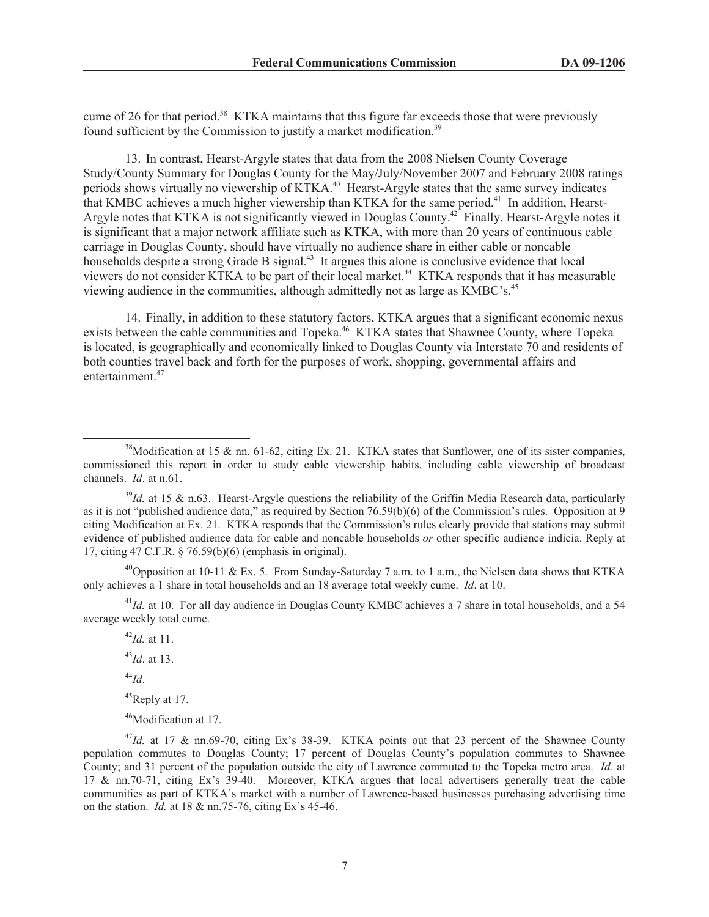cume of 26 for that period.<sup>38</sup> KTKA maintains that this figure far exceeds those that were previously found sufficient by the Commission to justify a market modification.<sup>39</sup>

13. In contrast, Hearst-Argyle states that data from the 2008 Nielsen County Coverage Study/County Summary for Douglas County for the May/July/November 2007 and February 2008 ratings periods shows virtually no viewership of KTKA.<sup>40</sup> Hearst-Argyle states that the same survey indicates that KMBC achieves a much higher viewership than KTKA for the same period.<sup>41</sup> In addition, Hearst-Argyle notes that KTKA is not significantly viewed in Douglas County.<sup>42</sup> Finally, Hearst-Argyle notes it is significant that a major network affiliate such as KTKA, with more than 20 years of continuous cable carriage in Douglas County, should have virtually no audience share in either cable or noncable households despite a strong Grade B signal.<sup>43</sup> It argues this alone is conclusive evidence that local viewers do not consider KTKA to be part of their local market.<sup>44</sup> KTKA responds that it has measurable viewing audience in the communities, although admittedly not as large as KMBC's.<sup>45</sup>

14. Finally, in addition to these statutory factors, KTKA argues that a significant economic nexus exists between the cable communities and Topeka.<sup>46</sup> KTKA states that Shawnee County, where Topeka is located, is geographically and economically linked to Douglas County via Interstate 70 and residents of both counties travel back and forth for the purposes of work, shopping, governmental affairs and entertainment.<sup>47</sup>

<sup>40</sup>Opposition at 10-11 & Ex. 5. From Sunday-Saturday 7 a.m. to 1 a.m., the Nielsen data shows that KTKA only achieves a 1 share in total households and an 18 average total weekly cume. *Id*. at 10.

<sup>41</sup>*Id.* at 10. For all day audience in Douglas County KMBC achieves a 7 share in total households, and a 54 average weekly total cume.

<sup>42</sup>*Id.* at 11. <sup>43</sup>*Id*. at 13. <sup>44</sup>*Id*.

 $45$ Reply at 17.

<sup>46</sup>Modification at 17.

<sup>47</sup>Id. at 17 & nn.69-70, citing Ex's 38-39. KTKA points out that 23 percent of the Shawnee County population commutes to Douglas County; 17 percent of Douglas County's population commutes to Shawnee County; and 31 percent of the population outside the city of Lawrence commuted to the Topeka metro area. *Id.* at 17 & nn.70-71, citing Ex's 39-40. Moreover, KTKA argues that local advertisers generally treat the cable communities as part of KTKA's market with a number of Lawrence-based businesses purchasing advertising time on the station. *Id.* at 18 & nn.75-76, citing Ex's 45-46.

 $38$ Modification at 15 & nn. 61-62, citing Ex. 21. KTKA states that Sunflower, one of its sister companies, commissioned this report in order to study cable viewership habits, including cable viewership of broadcast channels. *Id*. at n.61.

<sup>&</sup>lt;sup>39</sup>Id. at 15 & n.63. Hearst-Argyle questions the reliability of the Griffin Media Research data, particularly as it is not "published audience data," as required by Section 76.59(b)(6) of the Commission's rules. Opposition at 9 citing Modification at Ex. 21. KTKA responds that the Commission's rules clearly provide that stations may submit evidence of published audience data for cable and noncable households *or* other specific audience indicia. Reply at 17, citing 47 C.F.R. § 76.59(b)(6) (emphasis in original).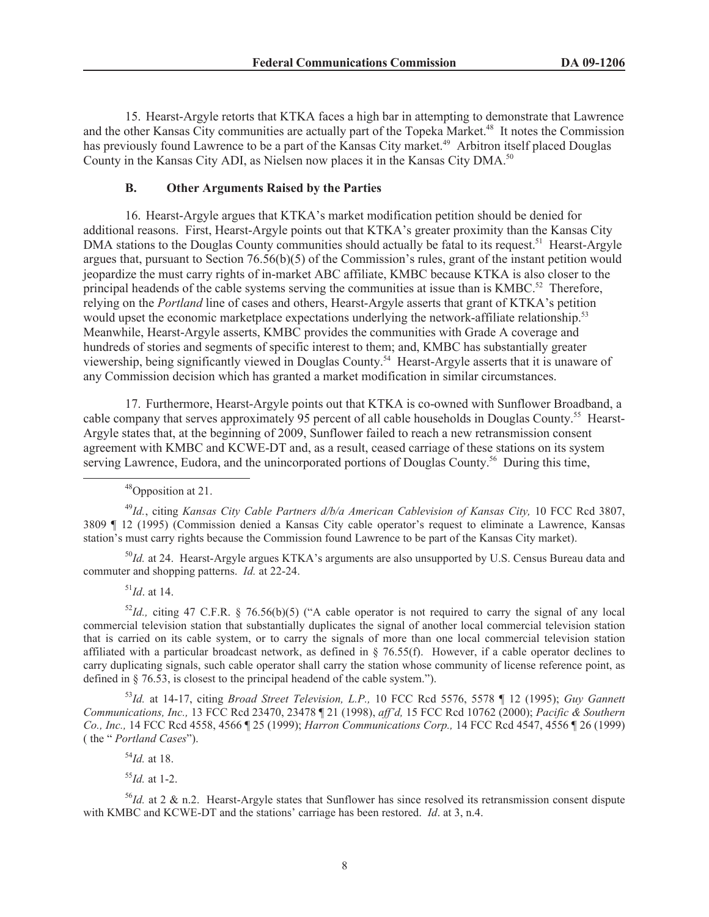15. Hearst-Argyle retorts that KTKA faces a high bar in attempting to demonstrate that Lawrence and the other Kansas City communities are actually part of the Topeka Market.<sup>48</sup> It notes the Commission has previously found Lawrence to be a part of the Kansas City market.<sup>49</sup> Arbitron itself placed Douglas County in the Kansas City ADI, as Nielsen now places it in the Kansas City DMA.<sup>50</sup>

#### **B. Other Arguments Raised by the Parties**

16. Hearst-Argyle argues that KTKA's market modification petition should be denied for additional reasons. First, Hearst-Argyle points out that KTKA's greater proximity than the Kansas City DMA stations to the Douglas County communities should actually be fatal to its request.<sup>51</sup> Hearst-Argyle argues that, pursuant to Section 76.56(b)(5) of the Commission's rules, grant of the instant petition would jeopardize the must carry rights of in-market ABC affiliate, KMBC because KTKA is also closer to the principal headends of the cable systems serving the communities at issue than is  $KMBC<sup>52</sup>$ . Therefore, relying on the *Portland* line of cases and others, Hearst-Argyle asserts that grant of KTKA's petition would upset the economic marketplace expectations underlying the network-affiliate relationship.<sup>53</sup> Meanwhile, Hearst-Argyle asserts, KMBC provides the communities with Grade A coverage and hundreds of stories and segments of specific interest to them; and, KMBC has substantially greater viewership, being significantly viewed in Douglas County.<sup>54</sup> Hearst-Argyle asserts that it is unaware of any Commission decision which has granted a market modification in similar circumstances.

17. Furthermore, Hearst-Argyle points out that KTKA is co-owned with Sunflower Broadband, a cable company that serves approximately 95 percent of all cable households in Douglas County.<sup>55</sup> Hearst-Argyle states that, at the beginning of 2009, Sunflower failed to reach a new retransmission consent agreement with KMBC and KCWE-DT and, as a result, ceased carriage of these stations on its system serving Lawrence, Eudora, and the unincorporated portions of Douglas County.<sup>56</sup> During this time,

<sup>48</sup>Opposition at 21.

<sup>49</sup>*Id.*, citing *Kansas City Cable Partners d/b/a American Cablevision of Kansas City,* 10 FCC Rcd 3807, 3809 ¶ 12 (1995) (Commission denied a Kansas City cable operator's request to eliminate a Lawrence, Kansas station's must carry rights because the Commission found Lawrence to be part of the Kansas City market).

<sup>50</sup>*Id.* at 24. Hearst-Argyle argues KTKA's arguments are also unsupported by U.S. Census Bureau data and commuter and shopping patterns. *Id.* at 22-24.

 $^{51}$ *Id.* at 14.

 $52$ *Id.*, citing 47 C.F.R. § 76.56(b)(5) ("A cable operator is not required to carry the signal of any local commercial television station that substantially duplicates the signal of another local commercial television station that is carried on its cable system, or to carry the signals of more than one local commercial television station affiliated with a particular broadcast network, as defined in  $\S$  76.55(f). However, if a cable operator declines to carry duplicating signals, such cable operator shall carry the station whose community of license reference point, as defined in § 76.53, is closest to the principal headend of the cable system.").

<sup>53</sup>*Id.* at 14-17, citing *Broad Street Television, L.P.,* 10 FCC Rcd 5576, 5578 ¶ 12 (1995); *Guy Gannett Communications, Inc.,* 13 FCC Rcd 23470, 23478 ¶ 21 (1998), *aff'd,* 15 FCC Rcd 10762 (2000); *Pacific & Southern Co., Inc.,* 14 FCC Rcd 4558, 4566 ¶ 25 (1999); *Harron Communications Corp.,* 14 FCC Rcd 4547, 4556 ¶ 26 (1999) ( the " *Portland Cases*").

<sup>54</sup>*Id.* at 18.

<sup>55</sup>*Id.* at 1-2.

<sup>56</sup>*Id.* at 2 & n.2. Hearst-Argyle states that Sunflower has since resolved its retransmission consent dispute with KMBC and KCWE-DT and the stations' carriage has been restored. *Id*. at 3, n.4.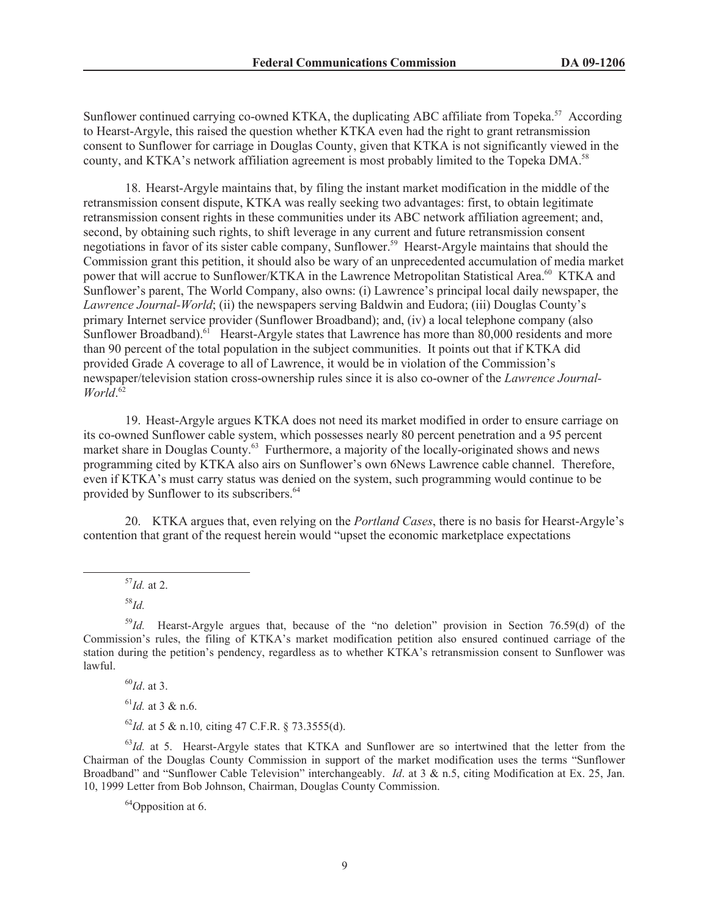Sunflower continued carrying co-owned KTKA, the duplicating ABC affiliate from Topeka.<sup>57</sup> According to Hearst-Argyle, this raised the question whether KTKA even had the right to grant retransmission consent to Sunflower for carriage in Douglas County, given that KTKA is not significantly viewed in the county, and KTKA's network affiliation agreement is most probably limited to the Topeka DMA.<sup>58</sup>

18. Hearst-Argyle maintains that, by filing the instant market modification in the middle of the retransmission consent dispute, KTKA was really seeking two advantages: first, to obtain legitimate retransmission consent rights in these communities under its ABC network affiliation agreement; and, second, by obtaining such rights, to shift leverage in any current and future retransmission consent negotiations in favor of its sister cable company, Sunflower.<sup>59</sup> Hearst-Argyle maintains that should the Commission grant this petition, it should also be wary of an unprecedented accumulation of media market power that will accrue to Sunflower/KTKA in the Lawrence Metropolitan Statistical Area.<sup>60</sup> KTKA and Sunflower's parent, The World Company, also owns: (i) Lawrence's principal local daily newspaper, the *Lawrence Journal-World*; (ii) the newspapers serving Baldwin and Eudora; (iii) Douglas County's primary Internet service provider (Sunflower Broadband); and, (iv) a local telephone company (also Sunflower Broadband).<sup>61</sup> Hearst-Argyle states that Lawrence has more than 80,000 residents and more than 90 percent of the total population in the subject communities. It points out that if KTKA did provided Grade A coverage to all of Lawrence, it would be in violation of the Commission's newspaper/television station cross-ownership rules since it is also co-owner of the *Lawrence Journal-World*. 62

19. Heast-Argyle argues KTKA does not need its market modified in order to ensure carriage on its co-owned Sunflower cable system, which possesses nearly 80 percent penetration and a 95 percent market share in Douglas County.<sup>63</sup> Furthermore, a majority of the locally-originated shows and news programming cited by KTKA also airs on Sunflower's own 6News Lawrence cable channel. Therefore, even if KTKA's must carry status was denied on the system, such programming would continue to be provided by Sunflower to its subscribers.<sup>64</sup>

20. KTKA argues that, even relying on the *Portland Cases*, there is no basis for Hearst-Argyle's contention that grant of the request herein would "upset the economic marketplace expectations

<sup>57</sup>*Id.* at 2.

<sup>60</sup>*Id*. at 3.

<sup>61</sup>*Id.* at 3 & n.6.

<sup>62</sup>*Id.* at 5 & n.10*,* citing 47 C.F.R. § 73.3555(d).

<sup>63</sup>*Id.* at 5. Hearst-Argyle states that KTKA and Sunflower are so intertwined that the letter from the Chairman of the Douglas County Commission in support of the market modification uses the terms "Sunflower Broadband" and "Sunflower Cable Television" interchangeably. *Id.* at 3 & n.5, citing Modification at Ex. 25, Jan. 10, 1999 Letter from Bob Johnson, Chairman, Douglas County Commission.

 $64$ Opposition at 6.

<sup>58</sup>*Id.*

<sup>&</sup>lt;sup>59</sup>*Id.* Hearst-Argyle argues that, because of the "no deletion" provision in Section 76.59(d) of the Commission's rules, the filing of KTKA's market modification petition also ensured continued carriage of the station during the petition's pendency, regardless as to whether KTKA's retransmission consent to Sunflower was lawful.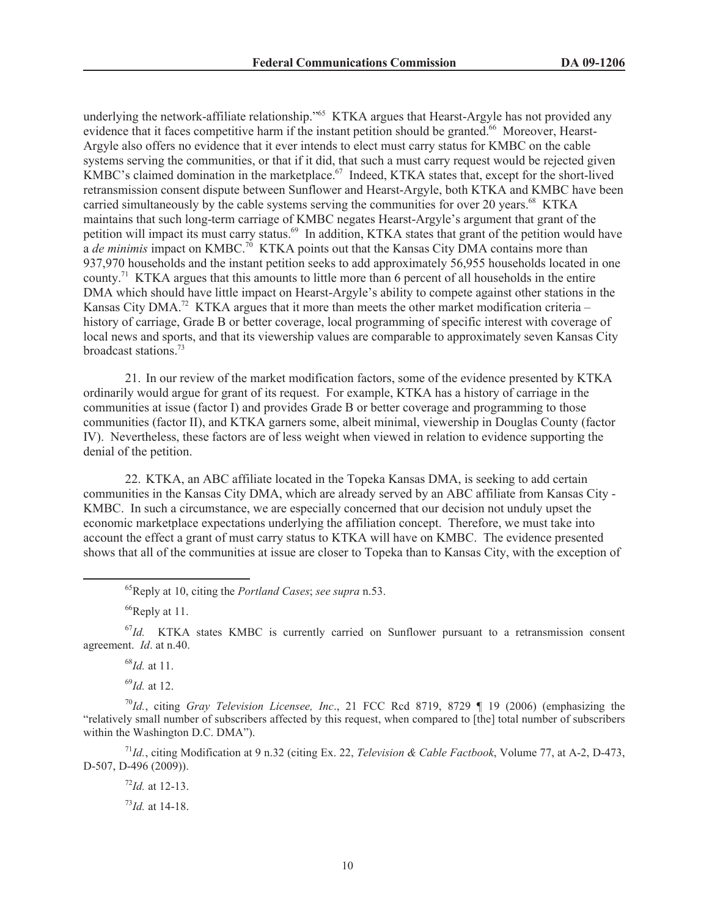underlying the network-affiliate relationship."<sup>65</sup> KTKA argues that Hearst-Argyle has not provided any evidence that it faces competitive harm if the instant petition should be granted.<sup>66</sup> Moreover, Hearst-Argyle also offers no evidence that it ever intends to elect must carry status for KMBC on the cable systems serving the communities, or that if it did, that such a must carry request would be rejected given KMBC's claimed domination in the marketplace.<sup>67</sup> Indeed, KTKA states that, except for the short-lived retransmission consent dispute between Sunflower and Hearst-Argyle, both KTKA and KMBC have been carried simultaneously by the cable systems serving the communities for over 20 years.<sup>68</sup> KTKA maintains that such long-term carriage of KMBC negates Hearst-Argyle's argument that grant of the petition will impact its must carry status.<sup>69</sup> In addition, KTKA states that grant of the petition would have a *de minimis* impact on KMBC.<sup>70</sup> KTKA points out that the Kansas City DMA contains more than 937,970 households and the instant petition seeks to add approximately 56,955 households located in one county.<sup>71</sup> KTKA argues that this amounts to little more than 6 percent of all households in the entire DMA which should have little impact on Hearst-Argyle's ability to compete against other stations in the Kansas City DMA.<sup>72</sup> KTKA argues that it more than meets the other market modification criteria – history of carriage, Grade B or better coverage, local programming of specific interest with coverage of local news and sports, and that its viewership values are comparable to approximately seven Kansas City broadcast stations.<sup>73</sup>

21. In our review of the market modification factors, some of the evidence presented by KTKA ordinarily would argue for grant of its request. For example, KTKA has a history of carriage in the communities at issue (factor I) and provides Grade B or better coverage and programming to those communities (factor II), and KTKA garners some, albeit minimal, viewership in Douglas County (factor IV). Nevertheless, these factors are of less weight when viewed in relation to evidence supporting the denial of the petition.

22. KTKA, an ABC affiliate located in the Topeka Kansas DMA, is seeking to add certain communities in the Kansas City DMA, which are already served by an ABC affiliate from Kansas City - KMBC. In such a circumstance, we are especially concerned that our decision not unduly upset the economic marketplace expectations underlying the affiliation concept. Therefore, we must take into account the effect a grant of must carry status to KTKA will have on KMBC. The evidence presented shows that all of the communities at issue are closer to Topeka than to Kansas City, with the exception of

 ${}^{66}$ Reply at 11.

<sup>67</sup>Id. KTKA states KMBC is currently carried on Sunflower pursuant to a retransmission consent agreement. *Id*. at n.40.

<sup>68</sup>*Id.* at 11.

<sup>69</sup>*Id.* at 12.

<sup>70</sup>*Id.*, citing *Gray Television Licensee, Inc*., 21 FCC Rcd 8719, 8729 ¶ 19 (2006) (emphasizing the "relatively small number of subscribers affected by this request, when compared to [the] total number of subscribers within the Washington D.C. DMA").

<sup>71</sup>*Id.*, citing Modification at 9 n.32 (citing Ex. 22, *Television & Cable Factbook*, Volume 77, at A-2, D-473, D-507, D-496 (2009)).

<sup>72</sup>*Id.* at 12-13.

<sup>73</sup>*Id.* at 14-18.

<sup>65</sup>Reply at 10, citing the *Portland Cases*; *see supra* n.53.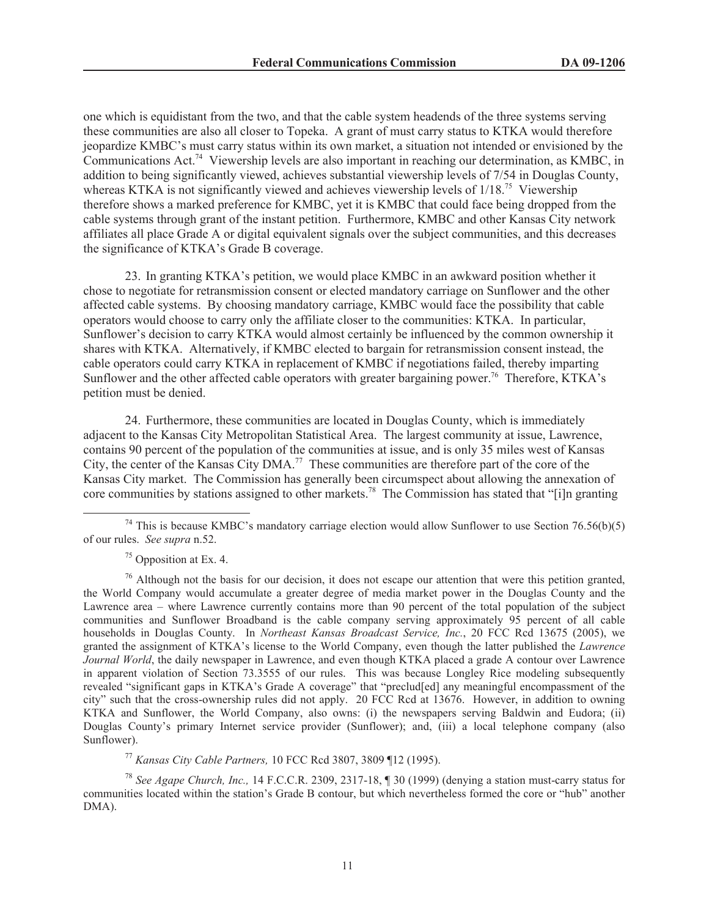one which is equidistant from the two, and that the cable system headends of the three systems serving these communities are also all closer to Topeka. A grant of must carry status to KTKA would therefore jeopardize KMBC's must carry status within its own market, a situation not intended or envisioned by the Communications Act.<sup>74</sup> Viewership levels are also important in reaching our determination, as KMBC, in addition to being significantly viewed, achieves substantial viewership levels of 7/54 in Douglas County, whereas KTKA is not significantly viewed and achieves viewership levels of  $1/18$ .<sup>75</sup> Viewership therefore shows a marked preference for KMBC, yet it is KMBC that could face being dropped from the cable systems through grant of the instant petition. Furthermore, KMBC and other Kansas City network affiliates all place Grade A or digital equivalent signals over the subject communities, and this decreases the significance of KTKA's Grade B coverage.

23. In granting KTKA's petition, we would place KMBC in an awkward position whether it chose to negotiate for retransmission consent or elected mandatory carriage on Sunflower and the other affected cable systems. By choosing mandatory carriage, KMBC would face the possibility that cable operators would choose to carry only the affiliate closer to the communities: KTKA. In particular, Sunflower's decision to carry KTKA would almost certainly be influenced by the common ownership it shares with KTKA. Alternatively, if KMBC elected to bargain for retransmission consent instead, the cable operators could carry KTKA in replacement of KMBC if negotiations failed, thereby imparting Sunflower and the other affected cable operators with greater bargaining power.<sup>76</sup> Therefore, KTKA's petition must be denied.

24. Furthermore, these communities are located in Douglas County, which is immediately adjacent to the Kansas City Metropolitan Statistical Area. The largest community at issue, Lawrence, contains 90 percent of the population of the communities at issue, and is only 35 miles west of Kansas City, the center of the Kansas City DMA.<sup>77</sup> These communities are therefore part of the core of the Kansas City market. The Commission has generally been circumspect about allowing the annexation of core communities by stations assigned to other markets.<sup>78</sup> The Commission has stated that "[i]n granting

<sup>77</sup> *Kansas City Cable Partners,* 10 FCC Rcd 3807, 3809 ¶12 (1995).

<sup>78</sup> *See Agape Church, Inc.,* 14 F.C.C.R. 2309, 2317-18, ¶ 30 (1999) (denying a station must-carry status for communities located within the station's Grade B contour, but which nevertheless formed the core or "hub" another DMA).

<sup>&</sup>lt;sup>74</sup> This is because KMBC's mandatory carriage election would allow Sunflower to use Section 76.56(b)(5) of our rules. *See supra* n.52.

 $75$  Opposition at Ex. 4.

 $^{76}$  Although not the basis for our decision, it does not escape our attention that were this petition granted, the World Company would accumulate a greater degree of media market power in the Douglas County and the Lawrence area – where Lawrence currently contains more than 90 percent of the total population of the subject communities and Sunflower Broadband is the cable company serving approximately 95 percent of all cable households in Douglas County. In *Northeast Kansas Broadcast Service, Inc.*, 20 FCC Rcd 13675 (2005), we granted the assignment of KTKA's license to the World Company, even though the latter published the *Lawrence Journal World*, the daily newspaper in Lawrence, and even though KTKA placed a grade A contour over Lawrence in apparent violation of Section 73.3555 of our rules. This was because Longley Rice modeling subsequently revealed "significant gaps in KTKA's Grade A coverage" that "preclud[ed] any meaningful encompassment of the city" such that the cross-ownership rules did not apply. 20 FCC Rcd at 13676. However, in addition to owning KTKA and Sunflower, the World Company, also owns: (i) the newspapers serving Baldwin and Eudora; (ii) Douglas County's primary Internet service provider (Sunflower); and, (iii) a local telephone company (also Sunflower).